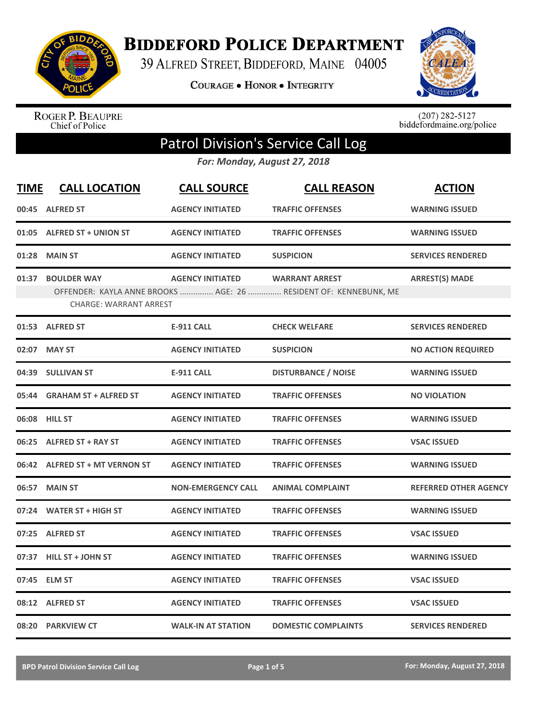

**BIDDEFORD POLICE DEPARTMENT** 

39 ALFRED STREET, BIDDEFORD, MAINE 04005

**COURAGE . HONOR . INTEGRITY** 



ROGER P. BEAUPRE<br>Chief of Police

 $(207)$  282-5127<br>biddefordmaine.org/police

## Patrol Division's Service Call Log

*For: Monday, August 27, 2018*

| <b>TIME</b> | <b>CALL LOCATION</b>                                | <b>CALL SOURCE</b>        | <b>CALL REASON</b>                                                                        | <b>ACTION</b>                |
|-------------|-----------------------------------------------------|---------------------------|-------------------------------------------------------------------------------------------|------------------------------|
| 00:45       | <b>ALFRED ST</b>                                    | <b>AGENCY INITIATED</b>   | <b>TRAFFIC OFFENSES</b>                                                                   | <b>WARNING ISSUED</b>        |
|             | 01:05 ALFRED ST + UNION ST                          | <b>AGENCY INITIATED</b>   | <b>TRAFFIC OFFENSES</b>                                                                   | <b>WARNING ISSUED</b>        |
| 01:28       | <b>MAIN ST</b>                                      | <b>AGENCY INITIATED</b>   | <b>SUSPICION</b>                                                                          | <b>SERVICES RENDERED</b>     |
| 01:37       | <b>BOULDER WAY</b><br><b>CHARGE: WARRANT ARREST</b> | <b>AGENCY INITIATED</b>   | <b>WARRANT ARREST</b><br>OFFENDER: KAYLA ANNE BROOKS  AGE: 26  RESIDENT OF: KENNEBUNK, ME | <b>ARREST(S) MADE</b>        |
|             | 01:53 ALFRED ST                                     | <b>E-911 CALL</b>         | <b>CHECK WELFARE</b>                                                                      | <b>SERVICES RENDERED</b>     |
| 02:07       | <b>MAY ST</b>                                       | <b>AGENCY INITIATED</b>   | <b>SUSPICION</b>                                                                          | <b>NO ACTION REQUIRED</b>    |
|             | 04:39 SULLIVAN ST                                   | <b>E-911 CALL</b>         | <b>DISTURBANCE / NOISE</b>                                                                | <b>WARNING ISSUED</b>        |
| 05:44       | <b>GRAHAM ST + ALFRED ST</b>                        | <b>AGENCY INITIATED</b>   | <b>TRAFFIC OFFENSES</b>                                                                   | <b>NO VIOLATION</b>          |
| 06:08       | <b>HILL ST</b>                                      | <b>AGENCY INITIATED</b>   | <b>TRAFFIC OFFENSES</b>                                                                   | <b>WARNING ISSUED</b>        |
| 06:25       | <b>ALFRED ST + RAY ST</b>                           | <b>AGENCY INITIATED</b>   | <b>TRAFFIC OFFENSES</b>                                                                   | <b>VSAC ISSUED</b>           |
| 06:42       | <b>ALFRED ST + MT VERNON ST</b>                     | <b>AGENCY INITIATED</b>   | <b>TRAFFIC OFFENSES</b>                                                                   | <b>WARNING ISSUED</b>        |
| 06:57       | <b>MAIN ST</b>                                      | <b>NON-EMERGENCY CALL</b> | <b>ANIMAL COMPLAINT</b>                                                                   | <b>REFERRED OTHER AGENCY</b> |
|             | 07:24 WATER ST + HIGH ST                            | <b>AGENCY INITIATED</b>   | <b>TRAFFIC OFFENSES</b>                                                                   | <b>WARNING ISSUED</b>        |
| 07:25       | <b>ALFRED ST</b>                                    | <b>AGENCY INITIATED</b>   | <b>TRAFFIC OFFENSES</b>                                                                   | <b>VSAC ISSUED</b>           |
| 07:37       | <b>HILL ST + JOHN ST</b>                            | <b>AGENCY INITIATED</b>   | <b>TRAFFIC OFFENSES</b>                                                                   | <b>WARNING ISSUED</b>        |
| 07:45       | <b>ELM ST</b>                                       | <b>AGENCY INITIATED</b>   | <b>TRAFFIC OFFENSES</b>                                                                   | <b>VSAC ISSUED</b>           |
|             | 08:12 ALFRED ST                                     | <b>AGENCY INITIATED</b>   | <b>TRAFFIC OFFENSES</b>                                                                   | <b>VSAC ISSUED</b>           |
|             | 08:20 PARKVIEW CT                                   | <b>WALK-IN AT STATION</b> | <b>DOMESTIC COMPLAINTS</b>                                                                | <b>SERVICES RENDERED</b>     |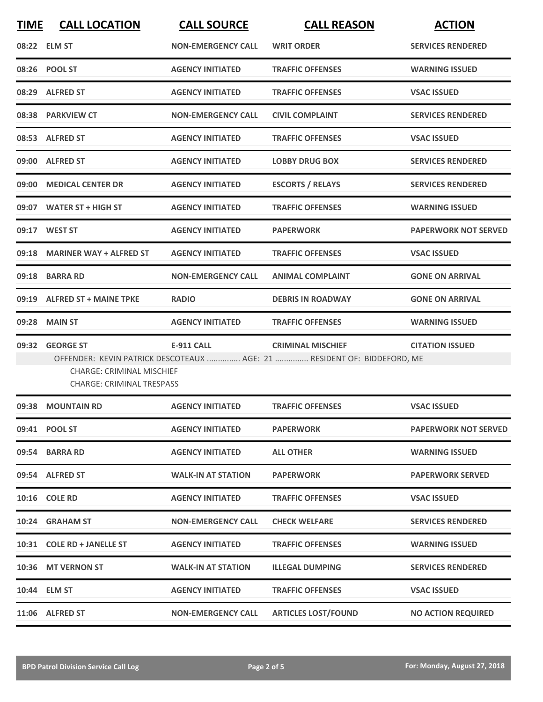| <b>TIME</b> | <b>CALL LOCATION</b>                                                                     | <b>CALL SOURCE</b>        | <b>CALL REASON</b>                                                                                  | <b>ACTION</b>               |
|-------------|------------------------------------------------------------------------------------------|---------------------------|-----------------------------------------------------------------------------------------------------|-----------------------------|
|             | 08:22 ELM ST                                                                             | <b>NON-EMERGENCY CALL</b> | <b>WRIT ORDER</b>                                                                                   | <b>SERVICES RENDERED</b>    |
|             | 08:26 POOL ST                                                                            | <b>AGENCY INITIATED</b>   | <b>TRAFFIC OFFENSES</b>                                                                             | <b>WARNING ISSUED</b>       |
|             | 08:29 ALFRED ST                                                                          | <b>AGENCY INITIATED</b>   | <b>TRAFFIC OFFENSES</b>                                                                             | <b>VSAC ISSUED</b>          |
|             | 08:38 PARKVIEW CT                                                                        | <b>NON-EMERGENCY CALL</b> | <b>CIVIL COMPLAINT</b>                                                                              | <b>SERVICES RENDERED</b>    |
|             | 08:53 ALFRED ST                                                                          | <b>AGENCY INITIATED</b>   | <b>TRAFFIC OFFENSES</b>                                                                             | <b>VSAC ISSUED</b>          |
|             | 09:00 ALFRED ST                                                                          | <b>AGENCY INITIATED</b>   | <b>LOBBY DRUG BOX</b>                                                                               | <b>SERVICES RENDERED</b>    |
|             | 09:00 MEDICAL CENTER DR                                                                  | <b>AGENCY INITIATED</b>   | <b>ESCORTS / RELAYS</b>                                                                             | <b>SERVICES RENDERED</b>    |
|             | 09:07 WATER ST + HIGH ST                                                                 | <b>AGENCY INITIATED</b>   | <b>TRAFFIC OFFENSES</b>                                                                             | <b>WARNING ISSUED</b>       |
|             | 09:17 WEST ST                                                                            | <b>AGENCY INITIATED</b>   | <b>PAPERWORK</b>                                                                                    | <b>PAPERWORK NOT SERVED</b> |
|             | 09:18 MARINER WAY + ALFRED ST                                                            | <b>AGENCY INITIATED</b>   | <b>TRAFFIC OFFENSES</b>                                                                             | <b>VSAC ISSUED</b>          |
|             | 09:18 BARRA RD                                                                           | <b>NON-EMERGENCY CALL</b> | <b>ANIMAL COMPLAINT</b>                                                                             | <b>GONE ON ARRIVAL</b>      |
|             | 09:19 ALFRED ST + MAINE TPKE                                                             | <b>RADIO</b>              | <b>DEBRIS IN ROADWAY</b>                                                                            | <b>GONE ON ARRIVAL</b>      |
| 09:28       | <b>MAIN ST</b>                                                                           | <b>AGENCY INITIATED</b>   | <b>TRAFFIC OFFENSES</b>                                                                             | <b>WARNING ISSUED</b>       |
| 09:32       | <b>GEORGE ST</b><br><b>CHARGE: CRIMINAL MISCHIEF</b><br><b>CHARGE: CRIMINAL TRESPASS</b> | <b>E-911 CALL</b>         | <b>CRIMINAL MISCHIEF</b><br>OFFENDER: KEVIN PATRICK DESCOTEAUX  AGE: 21  RESIDENT OF: BIDDEFORD, ME | <b>CITATION ISSUED</b>      |
|             | 09:38 MOUNTAIN RD                                                                        | <b>AGENCY INITIATED</b>   | <b>TRAFFIC OFFENSES</b>                                                                             | <b>VSAC ISSUED</b>          |
|             | 09:41 POOL ST                                                                            | <b>AGENCY INITIATED</b>   | <b>PAPERWORK</b>                                                                                    | <b>PAPERWORK NOT SERVED</b> |
|             | 09:54 BARRA RD                                                                           | <b>AGENCY INITIATED</b>   | <b>ALL OTHER</b>                                                                                    | <b>WARNING ISSUED</b>       |
|             | 09:54 ALFRED ST                                                                          | <b>WALK-IN AT STATION</b> | <b>PAPERWORK</b>                                                                                    | <b>PAPERWORK SERVED</b>     |
|             | 10:16 COLE RD                                                                            | <b>AGENCY INITIATED</b>   | <b>TRAFFIC OFFENSES</b>                                                                             | <b>VSAC ISSUED</b>          |
|             | 10:24 GRAHAM ST                                                                          | <b>NON-EMERGENCY CALL</b> | <b>CHECK WELFARE</b>                                                                                | <b>SERVICES RENDERED</b>    |
|             | 10:31 COLE RD + JANELLE ST                                                               | <b>AGENCY INITIATED</b>   | <b>TRAFFIC OFFENSES</b>                                                                             | <b>WARNING ISSUED</b>       |
|             | 10:36 MT VERNON ST                                                                       | <b>WALK-IN AT STATION</b> | <b>ILLEGAL DUMPING</b>                                                                              | <b>SERVICES RENDERED</b>    |
|             | 10:44 ELM ST                                                                             | <b>AGENCY INITIATED</b>   | <b>TRAFFIC OFFENSES</b>                                                                             | <b>VSAC ISSUED</b>          |
|             | 11:06 ALFRED ST                                                                          | <b>NON-EMERGENCY CALL</b> | <b>ARTICLES LOST/FOUND</b>                                                                          | <b>NO ACTION REQUIRED</b>   |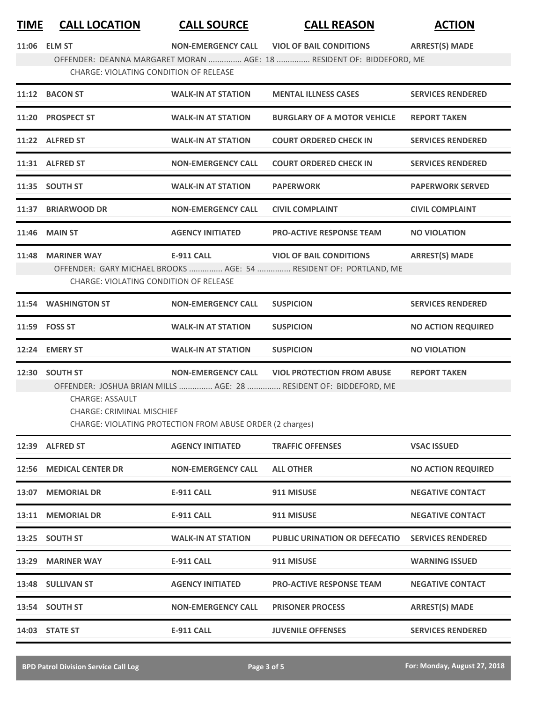## **TIME CALL LOCATION CALL SOURCE CALL REASON ACTION**

**11:06 NON ELM ST ‐EMERGENCY CALL VIOL OF BAIL CONDITIONS ARREST(S) MADE**

OFFENDER: DEANNA MARGARET MORAN ............... AGE: 18 ............... RESIDENT OF: BIDDEFORD, ME CHARGE: VIOLATING CONDITION OF RELEASE

|       | 11:12 BACON ST                                                               | <b>WALK-IN AT STATION</b>                                                              | <b>MENTAL ILLNESS CASES</b>                                                                            | <b>SERVICES RENDERED</b>  |
|-------|------------------------------------------------------------------------------|----------------------------------------------------------------------------------------|--------------------------------------------------------------------------------------------------------|---------------------------|
|       | 11:20 PROSPECT ST                                                            | <b>WALK-IN AT STATION</b>                                                              | <b>BURGLARY OF A MOTOR VEHICLE</b>                                                                     | <b>REPORT TAKEN</b>       |
|       | 11:22 ALFRED ST                                                              | <b>WALK-IN AT STATION</b>                                                              | <b>COURT ORDERED CHECK IN</b>                                                                          | <b>SERVICES RENDERED</b>  |
|       | 11:31 ALFRED ST                                                              | <b>NON-EMERGENCY CALL</b>                                                              | <b>COURT ORDERED CHECK IN</b>                                                                          | <b>SERVICES RENDERED</b>  |
|       | 11:35 SOUTH ST                                                               | <b>WALK-IN AT STATION</b>                                                              | <b>PAPERWORK</b>                                                                                       | <b>PAPERWORK SERVED</b>   |
|       | 11:37 BRIARWOOD DR                                                           | <b>NON-EMERGENCY CALL</b>                                                              | <b>CIVIL COMPLAINT</b>                                                                                 | <b>CIVIL COMPLAINT</b>    |
|       | <b>11:46 MAIN ST</b>                                                         | <b>AGENCY INITIATED</b>                                                                | <b>PRO-ACTIVE RESPONSE TEAM</b>                                                                        | <b>NO VIOLATION</b>       |
|       | 11:48 MARINER WAY<br><b>CHARGE: VIOLATING CONDITION OF RELEASE</b>           | <b>E-911 CALL</b>                                                                      | <b>VIOL OF BAIL CONDITIONS</b><br>OFFENDER: GARY MICHAEL BROOKS  AGE: 54  RESIDENT OF: PORTLAND, ME    | <b>ARREST(S) MADE</b>     |
|       | 11:54 WASHINGTON ST                                                          | <b>NON-EMERGENCY CALL</b>                                                              | <b>SUSPICION</b>                                                                                       | <b>SERVICES RENDERED</b>  |
|       | 11:59 FOSS ST                                                                | <b>WALK-IN AT STATION</b>                                                              | <b>SUSPICION</b>                                                                                       | <b>NO ACTION REQUIRED</b> |
|       | 12:24 EMERY ST                                                               | <b>WALK-IN AT STATION</b>                                                              | <b>SUSPICION</b>                                                                                       | <b>NO VIOLATION</b>       |
|       | 12:30 SOUTH ST<br><b>CHARGE: ASSAULT</b><br><b>CHARGE: CRIMINAL MISCHIEF</b> | <b>NON-EMERGENCY CALL</b><br>CHARGE: VIOLATING PROTECTION FROM ABUSE ORDER (2 charges) | <b>VIOL PROTECTION FROM ABUSE</b><br>OFFENDER: JOSHUA BRIAN MILLS  AGE: 28  RESIDENT OF: BIDDEFORD, ME | <b>REPORT TAKEN</b>       |
|       | 12:39 ALFRED ST                                                              | <b>AGENCY INITIATED</b>                                                                | <b>TRAFFIC OFFENSES</b>                                                                                | <b>VSAC ISSUED</b>        |
|       | 12:56 MEDICAL CENTER DR                                                      | <b>NON-EMERGENCY CALL</b>                                                              | <b>ALL OTHER</b>                                                                                       | <b>NO ACTION REQUIRED</b> |
| 13:07 | <b>MEMORIAL DR</b>                                                           | <b>E-911 CALL</b>                                                                      | 911 MISUSE                                                                                             | <b>NEGATIVE CONTACT</b>   |
| 13:11 | <b>MEMORIAL DR</b>                                                           | <b>E-911 CALL</b>                                                                      | 911 MISUSE                                                                                             | <b>NEGATIVE CONTACT</b>   |
| 13:25 | <b>SOUTH ST</b>                                                              | <b>WALK-IN AT STATION</b>                                                              | <b>PUBLIC URINATION OR DEFECATIO</b>                                                                   | <b>SERVICES RENDERED</b>  |

**13:29 E MARINER WAY ‐911 CALL 911 MISUSE WARNING ISSUED**

**13:48 AGENCY SULLIVAN ST INITIATED PRO‐ACTIVE RESPONSE TEAM NEGATIVE CONTACT**

**14:03 E STATE ST ‐911 CALL JUVENILE OFFENSES SERVICES RENDERED**

**13:54 NON SOUTH ST ‐EMERGENCY CALL PRISONER PROCESS ARREST(S) MADE**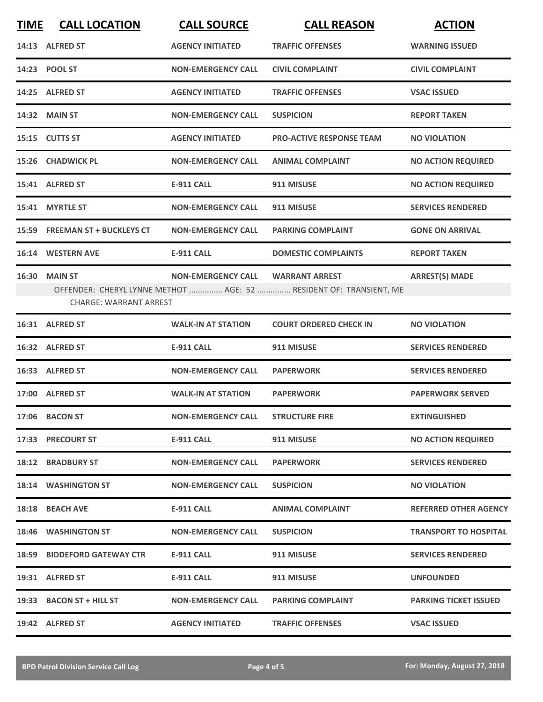| <b>TIME</b> | <b>CALL LOCATION</b>           | <b>CALL SOURCE</b>        | <b>CALL REASON</b>                                                 | <b>ACTION</b>                |
|-------------|--------------------------------|---------------------------|--------------------------------------------------------------------|------------------------------|
|             | 14:13 ALFRED ST                | <b>AGENCY INITIATED</b>   | <b>TRAFFIC OFFENSES</b>                                            | <b>WARNING ISSUED</b>        |
|             | 14:23 POOL ST                  | <b>NON-EMERGENCY CALL</b> | <b>CIVIL COMPLAINT</b>                                             | <b>CIVIL COMPLAINT</b>       |
|             | 14:25 ALFRED ST                | <b>AGENCY INITIATED</b>   | <b>TRAFFIC OFFENSES</b>                                            | <b>VSAC ISSUED</b>           |
|             | <b>14:32 MAIN ST</b>           | <b>NON-EMERGENCY CALL</b> | <b>SUSPICION</b>                                                   | <b>REPORT TAKEN</b>          |
|             | 15:15 CUTTS ST                 | <b>AGENCY INITIATED</b>   | <b>PRO-ACTIVE RESPONSE TEAM</b>                                    | <b>NO VIOLATION</b>          |
|             | 15:26 CHADWICK PL              | <b>NON-EMERGENCY CALL</b> | <b>ANIMAL COMPLAINT</b>                                            | <b>NO ACTION REQUIRED</b>    |
|             | 15:41 ALFRED ST                | <b>E-911 CALL</b>         | 911 MISUSE                                                         | <b>NO ACTION REQUIRED</b>    |
|             | 15:41 MYRTLE ST                | <b>NON-EMERGENCY CALL</b> | 911 MISUSE                                                         | <b>SERVICES RENDERED</b>     |
|             | 15:59 FREEMAN ST + BUCKLEYS CT | <b>NON-EMERGENCY CALL</b> | <b>PARKING COMPLAINT</b>                                           | <b>GONE ON ARRIVAL</b>       |
|             | 16:14 WESTERN AVE              | <b>E-911 CALL</b>         | <b>DOMESTIC COMPLAINTS</b>                                         | <b>REPORT TAKEN</b>          |
|             | <b>16:30 MAIN ST</b>           | <b>NON-EMERGENCY CALL</b> | <b>WARRANT ARREST</b>                                              | <b>ARREST(S) MADE</b>        |
|             | <b>CHARGE: WARRANT ARREST</b>  |                           | OFFENDER: CHERYL LYNNE METHOT  AGE: 52  RESIDENT OF: TRANSIENT, ME |                              |
|             | 16:31 ALFRED ST                | <b>WALK-IN AT STATION</b> | <b>COURT ORDERED CHECK IN</b>                                      | <b>NO VIOLATION</b>          |
|             | 16:32 ALFRED ST                | <b>E-911 CALL</b>         | 911 MISUSE                                                         | <b>SERVICES RENDERED</b>     |
|             | 16:33 ALFRED ST                | <b>NON-EMERGENCY CALL</b> | <b>PAPERWORK</b>                                                   | <b>SERVICES RENDERED</b>     |
|             | 17:00 ALFRED ST                | <b>WALK-IN AT STATION</b> | <b>PAPERWORK</b>                                                   | <b>PAPERWORK SERVED</b>      |
|             | 17:06 BACON ST                 | <b>NON-EMERGENCY CALL</b> | <b>STRUCTURE FIRE</b>                                              | <b>EXTINGUISHED</b>          |
|             | 17:33 PRECOURT ST              | E-911 CALL                | 911 MISUSE                                                         | <b>NO ACTION REQUIRED</b>    |
|             | <b>18:12 BRADBURY ST</b>       | <b>NON-EMERGENCY CALL</b> | <b>PAPERWORK</b>                                                   | <b>SERVICES RENDERED</b>     |
|             | 18:14 WASHINGTON ST            | <b>NON-EMERGENCY CALL</b> | <b>SUSPICION</b>                                                   | <b>NO VIOLATION</b>          |
|             | 18:18 BEACH AVE                | E-911 CALL                | <b>ANIMAL COMPLAINT</b>                                            | <b>REFERRED OTHER AGENCY</b> |
|             | 18:46 WASHINGTON ST            | <b>NON-EMERGENCY CALL</b> | <b>SUSPICION</b>                                                   | <b>TRANSPORT TO HOSPITAL</b> |
|             | 18:59 BIDDEFORD GATEWAY CTR    | <b>E-911 CALL</b>         | 911 MISUSE                                                         | <b>SERVICES RENDERED</b>     |
|             | 19:31 ALFRED ST                | E-911 CALL                | 911 MISUSE                                                         | <b>UNFOUNDED</b>             |
|             | 19:33 BACON ST + HILL ST       | <b>NON-EMERGENCY CALL</b> | <b>PARKING COMPLAINT</b>                                           | <b>PARKING TICKET ISSUED</b> |
|             | 19:42 ALFRED ST                | <b>AGENCY INITIATED</b>   | <b>TRAFFIC OFFENSES</b>                                            | <b>VSAC ISSUED</b>           |